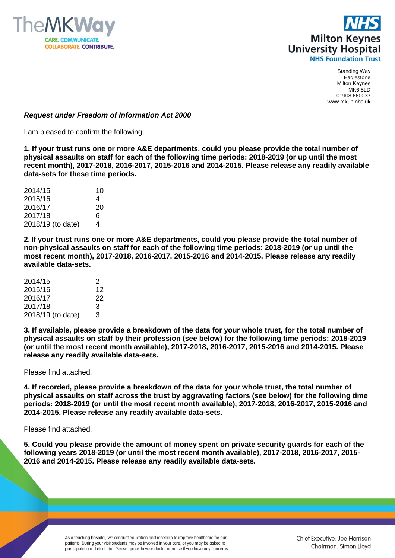



## *Request under Freedom of Information Act 2000*

I am pleased to confirm the following.

**1. If your trust runs one or more A&E departments, could you please provide the total number of physical assaults on staff for each of the following time periods: 2018-2019 (or up until the most recent month), 2017-2018, 2016-2017, 2015-2016 and 2014-2015. Please release any readily available data-sets for these time periods.**

| 2014/15           | 10 |
|-------------------|----|
| 2015/16           | 4  |
| 2016/17           | 20 |
| 2017/18           | 6  |
| 2018/19 (to date) | 4  |

**2. If your trust runs one or more A&E departments, could you please provide the total number of non-physical assaults on staff for each of the following time periods: 2018-2019 (or up until the most recent month), 2017-2018, 2016-2017, 2015-2016 and 2014-2015. Please release any readily available data-sets.**

| 2014/15           | 2  |
|-------------------|----|
| 2015/16           | 12 |
| 2016/17           | 22 |
| 2017/18           | 3  |
| 2018/19 (to date) | 3  |

**3. If available, please provide a breakdown of the data for your whole trust, for the total number of physical assaults on staff by their profession (see below) for the following time periods: 2018-2019 (or until the most recent month available), 2017-2018, 2016-2017, 2015-2016 and 2014-2015. Please release any readily available data-sets.**

Please find attached.

**4. If recorded, please provide a breakdown of the data for your whole trust, the total number of physical assaults on staff across the trust by aggravating factors (see below) for the following time periods: 2018-2019 (or until the most recent month available), 2017-2018, 2016-2017, 2015-2016 and 2014-2015. Please release any readily available data-sets.**

Please find attached.

**5. Could you please provide the amount of money spent on private security guards for each of the following years 2018-2019 (or until the most recent month available), 2017-2018, 2016-2017, 2015- 2016 and 2014-2015. Please release any readily available data-sets.**

> As a teaching hospital, we conduct education and research to improve healthcare for our patients. During your visit students may be involved in your care, or you may be asked to participate in a clinical trial. Please speak to your doctor or nurse if you have any concerns.